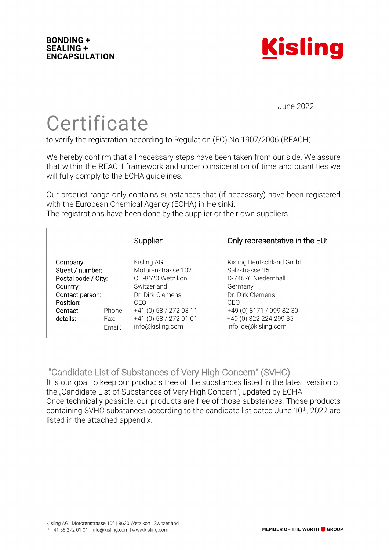

June 2022

Certificate<br>to verify the registration according to Regulation (EC) No 1907/2006 (REACH)

We hereby confirm that all necessary steps have been taken from our side. We assure that within the REACH framework and under consideration of time and quantities we will fully comply to the ECHA guidelines.

Our product range only contains substances that (if necessary) have been registered with the European Chemical Agency (ECHA) in Helsinki.

The registrations have been done by the supplier or their own suppliers.

|                                                                                                                        |                          | Supplier:                                                                                                                                                              | Only representative in the EU:                                                                                                                                                       |
|------------------------------------------------------------------------------------------------------------------------|--------------------------|------------------------------------------------------------------------------------------------------------------------------------------------------------------------|--------------------------------------------------------------------------------------------------------------------------------------------------------------------------------------|
| Company:<br>Street / number:<br>Postal code / City:<br>Country:<br>Contact person:<br>Position:<br>Contact<br>details: | Phone:<br>Fax:<br>Fmail: | Kisling AG<br>Motorenstrasse 102<br>CH-8620 Wetzikon<br>Switzerland<br>Dr. Dirk Clemens<br>CEO<br>+41 (0) 58 / 272 03 11<br>+41 (0) 58 / 272 01 01<br>info@kisling.com | Kisling Deutschland GmbH<br>Salzstrasse 15<br>D-74676 Niedernhall<br>Germany<br>Dr. Dirk Clemens<br>CEO<br>+49 (0) 8171 / 999 82 30<br>+49 (0) 322 224 299 35<br>Info_de@kisling.com |

"Candidate List of Substances of Very High Concern" (SVHC)

It is our goal to keep our products free of the substances listed in the latest version of the "Candidate List of Substances of Very High Concern", updated by ECHA. Once technically possible, our products are free of those substances. Those products containing SVHC substances according to the candidate list dated June 10th, 2022 are listed in the attached appendix.